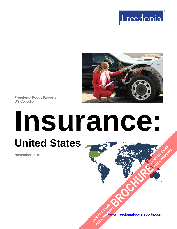



**Freedonia Focus Reports** US Collection

# **Insurance: United States [BROCHURE](https://www.freedoniafocusreports.com/Insurance-United-States-FF95012/?progid=89541) CLICK TO ORDER** FULL REPORT

**November 2019**

**[www.freedoniafocusreports.com](https://www.freedoniafocusreports.com/redirect.asp?progid=89534&url=/)** CLICK TO ORDER **FULL REPORT**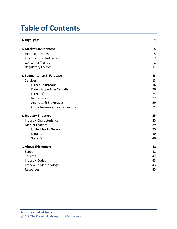# **Table of Contents**

| 1. Highlights                   | 4              |
|---------------------------------|----------------|
| 2. Market Environment           | 5              |
| <b>Historical Trends</b>        | 5              |
| Key Economic Indicators         | $\overline{7}$ |
| <b>Consumer Trends</b>          | 8              |
| <b>Regulatory Factors</b>       | 11             |
| 3. Segmentation & Forecasts     | 13             |
| <b>Services</b>                 | 13             |
| <b>Direct Healthcare</b>        | 16             |
| Direct Property & Casualty      | 20             |
| Direct Life                     | 24             |
| Reinsurance                     | 27             |
| Agencies & Brokerages           | 29             |
| Other Insurance Establishments  | 31             |
| 4. Industry Structure           | 35             |
| <b>Industry Characteristics</b> | 35             |
| <b>Market Leaders</b>           | 39             |
| UnitedHealth Group              | 39             |
| MetLife                         | 40             |
| <b>State Farm</b>               | 40             |
| 5. About This Report            | 42             |
| Scope                           | 42             |
| Sources                         | 42             |
| <b>Industry Codes</b>           | 43             |
| Freedonia Methodology           | 43             |
| Resources                       | 45             |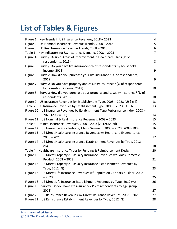# **List of Tables & Figures**

| Figure 1   Key Trends in US Insurance Revenues, 2018 - 2023                         | 4  |
|-------------------------------------------------------------------------------------|----|
| Figure 2   US Nominal Insurance Revenue Trends, 2008 - 2018                         | 5  |
| Figure 3   US Real Insurance Revenue Trends, 2008 - 2018                            | 6  |
| Table 1   Key Indicators for US Insurance Demand, 2008 - 2023                       | 7  |
| Figure 4   Survey: Desired Areas of Improvement in Healthcare Plans (% of           |    |
| respondents, 2019)                                                                  | 8  |
| Figure 5   Survey: Do you have life insurance? (% of respondents by household       |    |
| income, 2018)                                                                       | 9  |
| Figure 6   Survey: How did you purchase your life insurance? (% of respondents,     |    |
| 2019)                                                                               | 9  |
| Figure 7   Survey: Do you have property and casualty insurance? (% of respondents   |    |
| by household income, 2018)                                                          | 10 |
| Figure 8   Survey: How did you purchase your property and casualty insurance? (% of |    |
| respondents, 2019)                                                                  | 10 |
| Figure 9   US Insurance Revenues by Establishment Type, 2008 - 2023 (US\$ tril)     | 13 |
| Table 2   US Insurance Revenues by Establishment Type, 2008 - 2023 (US\$ bil)       | 13 |
| Figure 10   US Insurance Revenues by Establishment Type Performance Index, 2008 -   |    |
| 2023 (2008=100)                                                                     | 14 |
| Figure 11   US Nominal & Real Insurance Revenues, 2008 - 2023                       | 15 |
| Table 3   US Real Insurance Revenues, 2008 - 2023 (2012US\$ bil)                    | 15 |
| Figure 12   US Insurance Price Index by Major Segment, 2008 - 2023 (2008=100)       | 16 |
| Figure 13   US Direct Healthcare Insurance Revenues w/ Healthcare Expenditures,     |    |
| $2008 - 2023$                                                                       | 17 |
| Figure 14   US Direct Healthcare Insurance Establishment Revenues by Type, 2012     |    |
| $(\%)$                                                                              | 18 |
| Table 4   Healthcare Insurance Types by Funding & Reimbursement Design              | 20 |
| Figure 15   US Direct Property & Casualty Insurance Revenues w/ Gross Domestic      |    |
| Product, 2008 - 2023                                                                | 21 |
| Figure 16   US Direct Property & Casualty Insurance Establishment Revenues by       |    |
| Type, 2012 (%)                                                                      | 23 |
| Figure 17   US Direct Life Insurance Revenues w/ Population 25 Years & Older, 2008  |    |
| $-2023$                                                                             | 25 |
| Figure 18   US Direct Life Insurance Establishment Revenues by Type, 2012 (%)       | 26 |
| Figure 19   Survey: Do you have life insurance? (% of respondents by age group,     |    |
| 2018)                                                                               | 27 |
| Figure 20   US Reinsurance Revenues w/ Direct Insurance Revenues, 2008 - 2023       | 27 |
| Figure 21   US Reinsurance Establishment Revenues by Type, 2012 (%)                 | 28 |
|                                                                                     |    |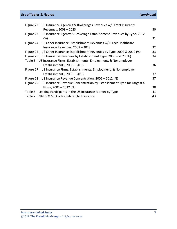### **List of Tables & Figures (***continued***)**

| Figure 22   US Insurance Agencies & Brokerages Revenues w/ Direct Insurance        |    |
|------------------------------------------------------------------------------------|----|
| Revenues, 2008 - 2023                                                              | 30 |
| Figure 23   US Insurance Agency & Brokerage Establishment Revenues by Type, 2012   |    |
| $(\%)$                                                                             | 31 |
| Figure 24   US Other Insurance Establishment Revenues w/ Direct Healthcare         |    |
| Insurance Revenues, 2008 - 2023                                                    | 32 |
| Figure 25   US Other Insurance Establishment Revenues by Type, 2007 & 2012 (%)     | 33 |
| Figure 26   US Insurance Revenues by Establishment Type, 2008 - 2023 (%)           | 34 |
| Table 5   US Insurance Firms, Establishments, Employment, & Nonemployer            |    |
| Establishments, 2008 - 2018                                                        | 36 |
| Figure 27   US Insurance Firms, Establishments, Employment, & Nonemployer          |    |
| Establishments, 2008 - 2018                                                        | 37 |
| Figure 28   US Insurance Revenue Concentration, 2002 - 2012 (%)                    | 37 |
| Figure 29   US Insurance Revenue Concentration by Establishment Type for Largest 4 |    |
| Firms, $2002 - 2012$ (%)                                                           | 38 |
| Table 6   Leading Participants in the US Insurance Market by Type                  | 41 |
| Table 7   NAICS & SIC Codes Related to Insurance                                   | 43 |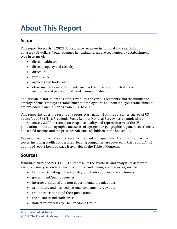# <span id="page-4-0"></span>**About This Report**

# <span id="page-4-1"></span>**Scope**

This report forecasts to 2023 US insurance revenues in nominal and real (inflationadjusted) US dollars. Total revenues in nominal terms are segmented by establishment type in terms of:

- direct healthcare
- direct property and casualty
- direct life
- reinsurance
- agencies and brokerages
- other insurance establishments such as third party administrators of insurance and pension funds and claims adjusters

To illustrate historical trends, total revenues; the various segments; and the number of employer firms, employer establishments, employment, and nonemployer establishments are provided in annual series from 2008 to 2018.

This report includes the results of a proprietary national online consumer survey of US adults (age 18+). This Freedonia Focus Reports National Survey has a sample size of approximately 2,000, screened for response quality and representative of the US population on the demographic measures of age, gender, geographic region, race/ethnicity, household income, and the presence/absence of children in the household.

Key macroeconomic indicators are also provided with quantified trends. Other various topics, including profiles of pertinent leading companies, are covered in this report. A full outline of report items by page is available in the Table of Contents.

# <span id="page-4-2"></span>**Sources**

*Insurance: United States* (FF95012) represents the synthesis and analysis of data from various primary secondary, macroeconomic, and demographic sources, such as:

- firms participating in the industry, and their suppliers and customers
- government/public agencies
- intergovernmental and non-governmental organizations
- proprietary and licensed national consumer survey data
- trade associations and their publications
- the business and trade press
- indicator forecasts by The Freedonia Group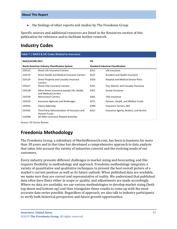• the findings of other reports and studies by The Freedonia Group

Specific sources and additional resources are listed in the Resources section of this publication for reference and to facilitate further research.

## <span id="page-5-0"></span>**Industry Codes**

<span id="page-5-2"></span>

| Table 7   NAICS & SIC Codes Related to Insurance     |                                                                                                               |                                           |                                        |  |  |
|------------------------------------------------------|---------------------------------------------------------------------------------------------------------------|-------------------------------------------|----------------------------------------|--|--|
| <b>NAICS/SCIAN 2017</b>                              |                                                                                                               | <b>SIC</b>                                |                                        |  |  |
| <b>North American Industry Classification System</b> |                                                                                                               | <b>Standard Industrial Classification</b> |                                        |  |  |
| 524113                                               | Direct Life Insurance Carriers                                                                                | 6311                                      | Life Insurance                         |  |  |
| 524114                                               | Direct Health and Medical Insurance Carriers                                                                  | 6321                                      | Accident and Health Insurance          |  |  |
| 524126                                               | Direct Property and Casualty Insurance<br>Carriers                                                            | 6324                                      | Hospital and Medical Service Plans     |  |  |
| 524127                                               | Direct Title Insurance Carriers                                                                               | 6331                                      | Fire, Marine, and Casualty Insurance   |  |  |
| 524128                                               | Other Direct Insurance (except Life, Health,<br>and Medical) Carriers                                         | 6351                                      | Surety Insurance                       |  |  |
| 524130                                               | <b>Reinsurance Carriers</b>                                                                                   | 6361                                      | Title Insurance                        |  |  |
| 524210                                               | Insurance Agencies and Brokerages                                                                             | 6371                                      | Pension, Health, and Welfare Funds     |  |  |
| 524291                                               | <b>Claims Adjusting</b>                                                                                       | 6399                                      | Insurance Carriers, NEC                |  |  |
| 524292<br>524298                                     | Third Party Administration of Insurance and<br><b>Pension Funds</b><br>All Other Insurance Related Activities | 6411                                      | Insurance Agents, Brokers, and Service |  |  |
|                                                      |                                                                                                               |                                           |                                        |  |  |

Source: US Census Bureau

# <span id="page-5-1"></span>**Freedonia Methodology**

The Freedonia Group, a subsidiary of MarketResearch.com, has been in business for more than 30 years and in that time has developed a comprehensive approach to data analysis that takes into account the variety of industries covered and the evolving needs of our customers.

Every industry presents different challenges in market sizing and forecasting, and this requires flexibility in methodology and approach. Freedonia methodology integrates a variety of quantitative and qualitative techniques to present the best overall picture of a market's current position as well as its future outlook: When published data are available, we make sure they are correct and representative of reality. We understand that published data often have flaws either in scope or quality, and adjustments are made accordingly. Where no data are available, we use various methodologies to develop market sizing (both top-down and bottom-up) and then triangulate those results to come up with the most accurate data series possible. Regardless of approach, we also talk to industry participants to verify both historical perspective and future growth opportunities.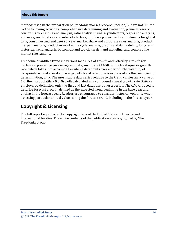#### **About This Report**

Methods used in the preparation of Freedonia market research include, but are not limited to, the following activities: comprehensive data mining and evaluation, primary research, consensus forecasting and analysis, ratio analysis using key indicators, regression analysis, end use growth indices and intensity factors, purchase power parity adjustments for global data, consumer and end user surveys, market share and corporate sales analysis, product lifespan analysis, product or market life cycle analysis, graphical data modeling, long-term historical trend analysis, bottom-up and top-down demand modeling, and comparative market size ranking.

Freedonia quantifies trends in various measures of growth and volatility. Growth (or decline) expressed as an average annual growth rate (AAGR) is the least squares growth rate, which takes into account all available datapoints over a period. The volatility of datapoints around a least squares growth trend over time is expressed via the coefficient of determination, or  $r^2$ . The most stable data series relative to the trend carries an  $r^2$  value of 1.0; the most volatile – 0.0. Growth calculated as a compound annual growth rate (CAGR) employs, by definition, only the first and last datapoints over a period. The CAGR is used to describe forecast growth, defined as the expected trend beginning in the base year and ending in the forecast year. Readers are encouraged to consider historical volatility when assessing particular annual values along the forecast trend, including in the forecast year.

## **Copyright & Licensing**

The full report is protected by copyright laws of the United States of America and international treaties. The entire contents of the publication are copyrighted by The Freedonia Group.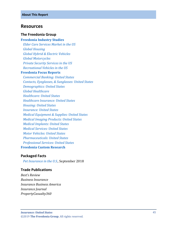#### <span id="page-7-0"></span>**Resources**

#### **The Freedonia Group**

#### **[Freedonia Industry Studies](http://www.freedoniagroup.com/Home.aspx?ReferrerId=FL-Focus)**

 *[Elder Care Services Market in the US](http://www.freedoniagroup.com/DocumentDetails.aspx?ReferrerId=FL-FOCUS&studyid=3587) [Global Housing](http://www.freedoniagroup.com/DocumentDetails.aspx?ReferrerId=FL-FOCUS&studyid=3752) [Global Hybrid & Electric Vehicles](http://www.freedoniagroup.com/DocumentDetails.aspx?ReferrerId=FL-FOCUS&studyid=3627) [Global Motorcycles](http://www.freedoniagroup.com/DocumentDetails.aspx?ReferrerId=FL-FOCUS&studyid=3634) [Private Security Services in the US](http://www.freedoniagroup.com/DocumentDetails.aspx?ReferrerId=FL-FOCUS&studyid=3517) [Recreational Vehicles in the US](http://www.freedoniagroup.com/DocumentDetails.aspx?ReferrerId=FL-FOCUS&studyid=3624)*

#### **[Freedonia Focus Reports](https://www.freedoniafocusreports.com/redirect.asp?progid=89534&url=/)**

 *[Commercial Banking: United States](https://www.freedoniafocusreports.com/Commercial-Banking-United-States-FF95010/?progid=89534) [Contacts, Eyeglasses, & Sunglasses: United States](https://www.freedoniafocusreports.com/Contacts-Glasses-Sunglasses-United-States-FF40088/?progid=89534) [Demographics: United States](https://www.freedoniafocusreports.com/Demographics-United-States-FF95050/?progid=89534) [Global Healthcare](https://www.freedoniafocusreports.com/Global-Healthcare-FW40017/?progid=89534) [Healthcare: United States](https://www.freedoniafocusreports.com/Healthcare-United-States-FF40017/?progid=89534) [Healthcare Insurance: United States](https://www.freedoniafocusreports.com/Healthcare-Insurance-United-States-FF95013/?progid=89534) [Housing: United States](https://www.freedoniafocusreports.com/Housing-United-States-FF60024/?progid=89534) [Insurance: United States](https://www.freedoniafocusreports.com/Insurance-United-States-FF95012/?progid=89534) [Medical Equipment & Supplies: United States](https://www.freedoniafocusreports.com/Medical-Equipment-Supplies-United-States-FF40018/?progid=89534) [Medical Imaging Products: United States](https://www.freedoniafocusreports.com/Medical-Imaging-Products-United-States-FF40037/?progid=89534) [Medical Implants: United States](https://www.freedoniafocusreports.com/Medical-Implants-United-States-FF40032/?progid=89534) [Medical Services: United States](https://www.freedoniafocusreports.com/Medical-Services-United-States-FF95014/?progid=89534) [Motor Vehicles: United States](https://www.freedoniafocusreports.com/Motor-Vehicles-United-States-FF85029/?progid=89534) [Pharmaceuticals: United States](https://www.freedoniafocusreports.com/Pharmaceuticals-United-States-FF40040/?progid=89534) [Professional Services: United States](https://www.freedoniafocusreports.com/Professional-Services-United-States-FF95063/?progid=89534)* **Freedonia [Custom Research](http://www.freedoniagroup.com/CustomResearch.aspx?ReferrerId=FL-Focus)**

#### **Packaged Facts**

 *[Pet Insurance in the U.S.,](https://www.packagedfacts.com/Pet-Insurance-North-America-Edition-11907705/?progid=89534)* September 2018

#### **Trade Publications**

*Best's Review Business Insurance Insurance Business America Insurance Journal PropertyCasualty360*